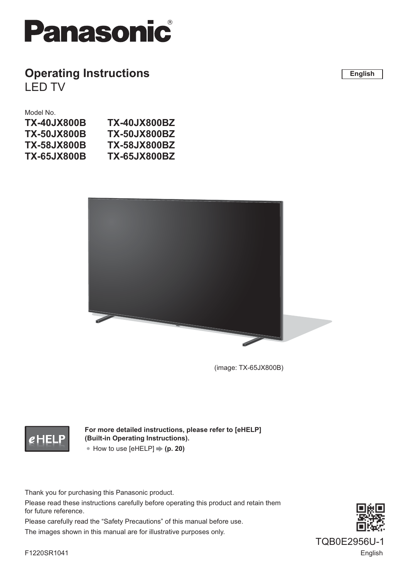

## **Operating Instructions** LED TV

**English**

#### Model No.

| TX-40JX800B        | <b>TX-40JX800BZ</b> |
|--------------------|---------------------|
| <b>TX-50JX800B</b> | <b>TX-50JX800BZ</b> |
| TX-58JX800B        | <b>TX-58JX800BZ</b> |
| TX-65JX800B        | <b>TX-65JX800BZ</b> |
|                    |                     |



(image: TX-65JX800B)

## $e$  Hel

**For more detailed instructions, please refer to [eHELP] (Built-in Operating Instructions).** ● How to use [eHELP]  $\Rightarrow$  **(p. 20)** 

Thank you for purchasing this Panasonic product.

Please read these instructions carefully before operating this product and retain them for future reference.

Please carefully read the "Safety Precautions" of this manual before use.

The images shown in this manual are for illustrative purposes only.



F1220SR1041 English TQB0E2956U-1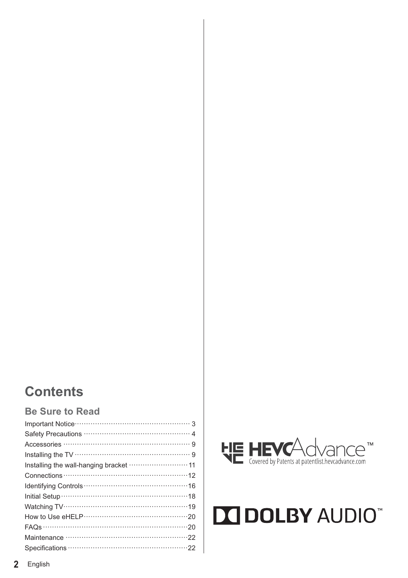## **Contents**

## **Be Sure to Read**

| Installing the wall-hanging bracket  11 |
|-----------------------------------------|
|                                         |
|                                         |
|                                         |
|                                         |
|                                         |
|                                         |
|                                         |
|                                         |



# **DOLBY AUDIO"**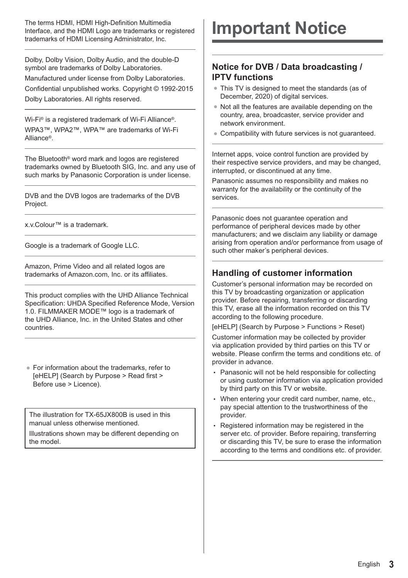The terms HDMI, HDMI High-Definition Multimedia Interface, and the HDMI Logo are trademarks or registered trademarks of HDMI Licensing Administrator, Inc.

Dolby, Dolby Vision, Dolby Audio, and the double-D symbol are trademarks of Dolby Laboratories. Manufactured under license from Dolby Laboratories. Confidential unpublished works. Copyright © 1992-2015 Dolby Laboratories. All rights reserved.

Wi-Fi® is a registered trademark of Wi-Fi Alliance®. WPA3™, WPA2™, WPA™ are trademarks of Wi-Fi Alliance®.

The Bluetooth® word mark and logos are registered trademarks owned by Bluetooth SIG, Inc. and any use of such marks by Panasonic Corporation is under license.

DVB and the DVB logos are trademarks of the DVB Project.

x.v.Colour™ is a trademark.

Google is a trademark of Google LLC.

Amazon, Prime Video and all related logos are trademarks of Amazon.com, Inc. or its affiliates.

This product complies with the UHD Alliance Technical Specification: UHDA Specified Reference Mode, Version 1.0. FILMMAKER MODE™ logo is a trademark of the UHD Alliance, Inc. in the United States and other countries.

• For information about the trademarks, refer to [eHELP] (Search by Purpose > Read first > Before use > Licence).

The illustration for TX-65JX800B is used in this manual unless otherwise mentioned.

Illustrations shown may be different depending on the model.

## **Important Notice**

## **Notice for DVB / Data broadcasting / IPTV functions**

- This TV is designed to meet the standards (as of December, 2020) of digital services.
- -Not all the features are available depending on the country, area, broadcaster, service provider and network environment.
- -Compatibility with future services is not guaranteed.

Internet apps, voice control function are provided by their respective service providers, and may be changed, interrupted, or discontinued at any time.

Panasonic assumes no responsibility and makes no warranty for the availability or the continuity of the services.

Panasonic does not guarantee operation and performance of peripheral devices made by other manufacturers; and we disclaim any liability or damage arising from operation and/or performance from usage of such other maker's peripheral devices.

## **Handling of customer information**

Customer's personal information may be recorded on this TV by broadcasting organization or application provider. Before repairing, transferring or discarding this TV, erase all the information recorded on this TV according to the following procedure.

[eHELP] (Search by Purpose > Functions > Reset)

Customer information may be collected by provider via application provided by third parties on this TV or website. Please confirm the terms and conditions etc. of provider in advance.

- Panasonic will not be held responsible for collecting or using customer information via application provided by third party on this TV or website.
- When entering your credit card number, name, etc., pay special attention to the trustworthiness of the provider.
- Registered information may be registered in the server etc. of provider. Before repairing, transferring or discarding this TV, be sure to erase the information according to the terms and conditions etc. of provider.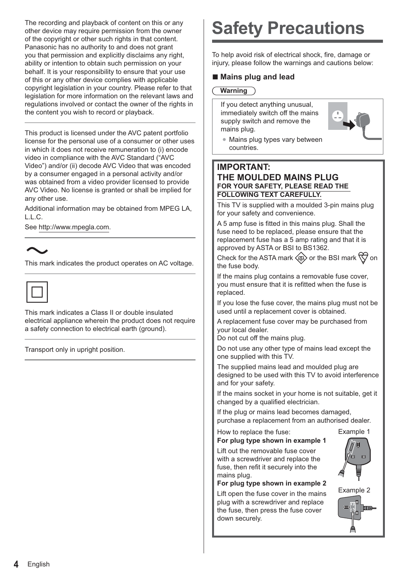The recording and playback of content on this or any other device may require permission from the owner of the copyright or other such rights in that content. Panasonic has no authority to and does not grant you that permission and explicitly disclaims any right, ability or intention to obtain such permission on your behalf. It is your responsibility to ensure that your use of this or any other device complies with applicable copyright legislation in your country. Please refer to that legislation for more information on the relevant laws and regulations involved or contact the owner of the rights in the content you wish to record or playback.

This product is licensed under the AVC patent portfolio license for the personal use of a consumer or other uses in which it does not receive remuneration to (i) encode video in compliance with the AVC Standard ("AVC Video") and/or (ii) decode AVC Video that was encoded by a consumer engaged in a personal activity and/or was obtained from a video provider licensed to provide AVC Video. No license is granted or shall be implied for any other use.

Additional information may be obtained from MPEG LA, L.L.C.

See http://www.mpegla.com.

This mark indicates the product operates on AC voltage.



This mark indicates a Class II or double insulated electrical appliance wherein the product does not require a safety connection to electrical earth (ground).

Transport only in upright position.

## **Safety Precautions**

To help avoid risk of electrical shock, fire, damage or injury, please follow the warnings and cautions below:

## **- Mains plug and lead**

#### **Warning**

If you detect anything unusual, immediately switch off the mains supply switch and remove the mains plug.



• Mains plug types vary between countries.

### **IMPORTANT: THE MOULDED MAINS PLUG FOR YOUR SAFETY, PLEASE READ THE FOLLOWING TEXT CAREFULLY.**

This TV is supplied with a moulded 3-pin mains plug for your safety and convenience.

A 5 amp fuse is fitted in this mains plug. Shall the fuse need to be replaced, please ensure that the replacement fuse has a 5 amp rating and that it is approved by ASTA or BSI to BS1362.

Check for the ASTA mark  $\langle \mathbb{R} \rangle$  or the BSI mark  $\langle \nabla \rangle$  on the fuse body.

If the mains plug contains a removable fuse cover, you must ensure that it is refitted when the fuse is replaced.

If you lose the fuse cover, the mains plug must not be used until a replacement cover is obtained.

A replacement fuse cover may be purchased from your local dealer.

Do not cut off the mains plug.

Do not use any other type of mains lead except the one supplied with this TV.

The supplied mains lead and moulded plug are designed to be used with this TV to avoid interference and for your safety.

If the mains socket in your home is not suitable, get it changed by a qualified electrician.

If the plug or mains lead becomes damaged, purchase a replacement from an authorised dealer.

#### How to replace the fuse: Example 1 **For plug type shown in example 1**

Lift out the removable fuse cover with a screwdriver and replace the fuse, then refit it securely into the mains plug.



Lift open the fuse cover in the mains plug with a screwdriver and replace the fuse, then press the fuse cover down securely.



**KID** m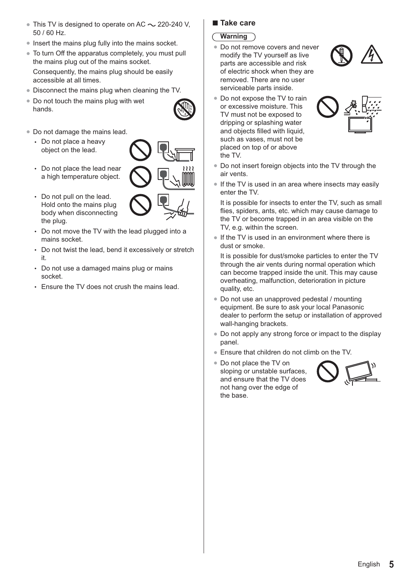- $\bullet$  This TV is designed to operate on AC  $\sim$  220-240 V, 50 / 60 Hz.
- Insert the mains plug fully into the mains socket.
- To turn Off the apparatus completely, you must pull the mains plug out of the mains socket. Consequently, the mains plug should be easily accessible at all times.
- Disconnect the mains plug when cleaning the TV.
- Do not touch the mains plug with wet hands.
- 
- -Do not damage the mains lead.
	- Do not place a heavy object on the lead.



- Do not place the lead near a high temperature object.
- Do not pull on the lead. Hold onto the mains plug body when disconnecting the plug.
- Do not move the TV with the lead plugged into a mains socket.
- Do not twist the lead, bend it excessively or stretch it.
- Do not use a damaged mains plug or mains socket.
- Ensure the TV does not crush the mains lead.

## **- Take care**

### **Warning**

- -Do not remove covers and never modify the TV yourself as live parts are accessible and risk of electric shock when they are removed. There are no user serviceable parts inside.
- Do not expose the TV to rain or excessive moisture. This TV must not be exposed to dripping or splashing water and objects filled with liquid. such as vases, must not be placed on top of or above the TV.



- 
- Do not insert foreign objects into the TV through the air vents.
- If the TV is used in an area where insects may easily enter the TV.

It is possible for insects to enter the TV, such as small flies, spiders, ants, etc. which may cause damage to the TV or become trapped in an area visible on the TV, e.g. within the screen.

• If the TV is used in an environment where there is dust or smoke.

It is possible for dust/smoke particles to enter the TV through the air vents during normal operation which can become trapped inside the unit. This may cause overheating, malfunction, deterioration in picture quality, etc.

- Do not use an unapproved pedestal / mounting equipment. Be sure to ask your local Panasonic dealer to perform the setup or installation of approved wall-hanging brackets.
- -Do not apply any strong force or impact to the display panel.
- -Ensure that children do not climb on the TV.
- Do not place the TV on sloping or unstable surfaces, and ensure that the TV does not hang over the edge of the base.

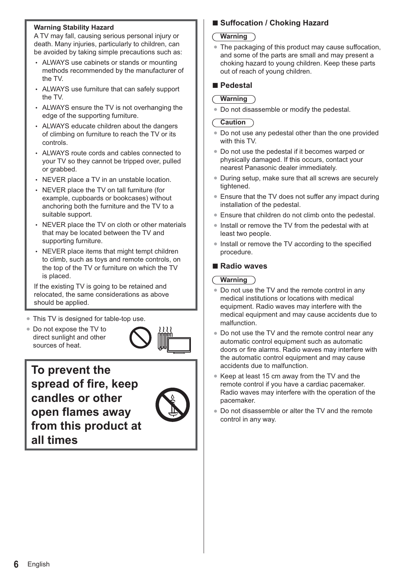#### **Warning Stability Hazard**

A TV may fall, causing serious personal injury or death. Many injuries, particularly to children, can be avoided by taking simple precautions such as:

- ALWAYS use cabinets or stands or mounting methods recommended by the manufacturer of the TV.
- ALWAYS use furniture that can safely support the TV.
- ALWAYS ensure the TV is not overhanging the edge of the supporting furniture.
- ALWAYS educate children about the dangers of climbing on furniture to reach the TV or its controls.
- ALWAYS route cords and cables connected to your TV so they cannot be tripped over, pulled or grabbed.
- NEVER place a TV in an unstable location.
- NEVER place the TV on tall furniture (for example, cupboards or bookcases) without anchoring both the furniture and the TV to a suitable support.
- NEVER place the TV on cloth or other materials that may be located between the TV and supporting furniture.
- NEVER place items that might tempt children to climb, such as toys and remote controls, on the top of the TV or furniture on which the TV is placed.

If the existing TV is going to be retained and relocated, the same considerations as above should be applied.

- -This TV is designed for table-top use.
- Do not expose the TV to direct sunlight and other sources of heat.



**To prevent the spread of fire, keep candles or other open flames away from this product at all times**



## **- Suffocation / Choking Hazard**

#### **Warning**

• The packaging of this product may cause suffocation, and some of the parts are small and may present a choking hazard to young children. Keep these parts out of reach of young children.

## **- Pedestal**

#### **Warning**

-Do not disassemble or modify the pedestal.

#### **Caution**

- -Do not use any pedestal other than the one provided with this TV.
- Do not use the pedestal if it becomes warped or physically damaged. If this occurs, contact your nearest Panasonic dealer immediately.
- During setup, make sure that all screws are securely tightened.
- Ensure that the TV does not suffer any impact during installation of the pedestal.
- -Ensure that children do not climb onto the pedestal.
- Install or remove the TV from the pedestal with at least two people.
- Install or remove the TV according to the specified procedure.

## **- Radio waves**

#### **Warning**

- Do not use the TV and the remote control in any medical institutions or locations with medical equipment. Radio waves may interfere with the medical equipment and may cause accidents due to malfunction.
- Do not use the TV and the remote control near any automatic control equipment such as automatic doors or fire alarms. Radio waves may interfere with the automatic control equipment and may cause accidents due to malfunction.
- Keep at least 15 cm away from the TV and the remote control if you have a cardiac pacemaker. Radio waves may interfere with the operation of the pacemaker.
- Do not disassemble or alter the TV and the remote control in any way.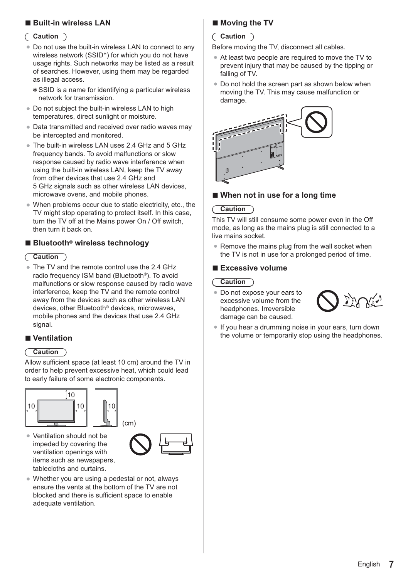## **- Built-in wireless LAN**

#### **Caution**

- -Do not use the built-in wireless LAN to connect to any wireless network (SSID\*) for which you do not have usage rights. Such networks may be listed as a result of searches. However, using them may be regarded as illegal access.
	- SSID is a name for identifying a particular wireless network for transmission.
- Do not subject the built-in wireless LAN to high temperatures, direct sunlight or moisture.
- Data transmitted and received over radio waves may be intercepted and monitored.
- The built-in wireless LAN uses 2.4 GHz and 5 GHz frequency bands. To avoid malfunctions or slow response caused by radio wave interference when using the built-in wireless LAN, keep the TV away from other devices that use 2.4 GHz and 5 GHz signals such as other wireless LAN devices, microwave ovens, and mobile phones.
- -When problems occur due to static electricity, etc., the TV might stop operating to protect itself. In this case, turn the TV off at the Mains power On / Off switch, then turn it back on.

## **- Bluetooth**® **wireless technology**

#### **Caution**

• The TV and the remote control use the 2.4 GHz radio frequency ISM band (Bluetooth®). To avoid malfunctions or slow response caused by radio wave interference, keep the TV and the remote control away from the devices such as other wireless LAN devices, other Bluetooth® devices, microwaves, mobile phones and the devices that use 2.4 GHz signal.

## **- Ventilation**

#### **Caution**

Allow sufficient space (at least 10 cm) around the TV in order to help prevent excessive heat, which could lead to early failure of some electronic components.





-Ventilation should not be impeded by covering the ventilation openings with items such as newspapers, tablecloths and curtains.



• Whether you are using a pedestal or not, always ensure the vents at the bottom of the TV are not blocked and there is sufficient space to enable adequate ventilation.

## **- Moving the TV**

#### **Caution**

Before moving the TV, disconnect all cables.

- At least two people are required to move the TV to prevent injury that may be caused by the tipping or falling of TV.
- Do not hold the screen part as shown below when moving the TV. This may cause malfunction or damage.



#### **-When not in use for a long time**

#### **Caution**

This TV will still consume some power even in the Off mode, as long as the mains plug is still connected to a live mains socket.

-Remove the mains plug from the wall socket when the TV is not in use for a prolonged period of time.

## **- Excessive volume**

### **Caution**

-Do not expose your ears to excessive volume from the headphones. Irreversible damage can be caused.



-If you hear a drumming noise in your ears, turn down the volume or temporarily stop using the headphones.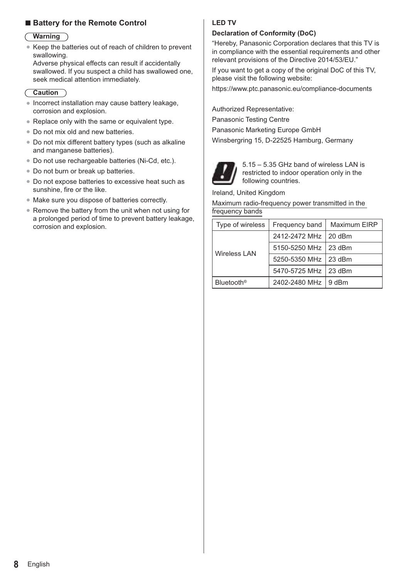## **- Battery for the Remote Control**

#### **Warning**

-Keep the batteries out of reach of children to prevent swallowing.

Adverse physical effects can result if accidentally swallowed. If you suspect a child has swallowed one, seek medical attention immediately.

#### **Caution**

- -Incorrect installation may cause battery leakage, corrosion and explosion.
- Replace only with the same or equivalent type.
- Do not mix old and new batteries.
- Do not mix different battery types (such as alkaline and manganese batteries).
- Do not use rechargeable batteries (Ni-Cd, etc.).
- Do not burn or break up batteries.
- Do not expose batteries to excessive heat such as sunshine, fire or the like.
- Make sure you dispose of batteries correctly.
- Remove the battery from the unit when not using for a prolonged period of time to prevent battery leakage, corrosion and explosion.

#### **LED TV**

#### **Declaration of Conformity (DoC)**

"Hereby, Panasonic Corporation declares that this TV is in compliance with the essential requirements and other relevant provisions of the Directive 2014/53/EU."

If you want to get a copy of the original DoC of this TV, please visit the following website:

https://www.ptc.panasonic.eu/compliance-documents

Authorized Representative:

Panasonic Testing Centre

Panasonic Marketing Europe GmbH

Winsbergring 15, D-22525 Hamburg, Germany



5.15 – 5.35 GHz band of wireless LAN is restricted to indoor operation only in the following countries.

Ireland, United Kingdom

Maximum radio-frequency power transmitted in the frequency bands

| Type of wireless       | Frequency band         | Maximum EIRP |
|------------------------|------------------------|--------------|
| <b>Wireless LAN</b>    | 2412-2472 MHz 20 dBm   |              |
|                        | 5150-5250 MHz   23 dBm |              |
|                        | 5250-5350 MHz   23 dBm |              |
|                        | 5470-5725 MHz 23 dBm   |              |
| Bluetooth <sup>®</sup> | 2402-2480 MHz 19 dBm   |              |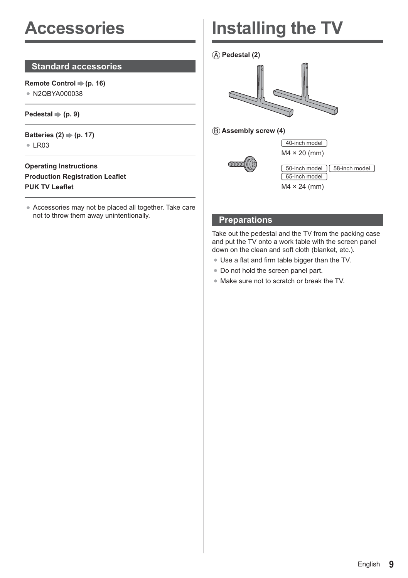## **Accessories**

## **Standard accessories**

**Remote Control**  $⇒$  **(p. 16)** • N2QBYA000038

#### $Pedestal \Rightarrow (p. 9)$

**Batteries (2) ♦ (p. 17)**  $\bullet$  LR03

### **Operating Instructions Production Registration Leaflet PUK TV Leaflet**

-Accessories may not be placed all together. Take care not to throw them away unintentionally.

## **Installing the TV**

 **Pedestal (2)**



 **Assembly screw (4)**



## **Preparations**

Take out the pedestal and the TV from the packing case and put the TV onto a work table with the screen panel down on the clean and soft cloth (blanket, etc.).

- Use a flat and firm table bigger than the TV.
- Do not hold the screen panel part.
- -Make sure not to scratch or break the TV.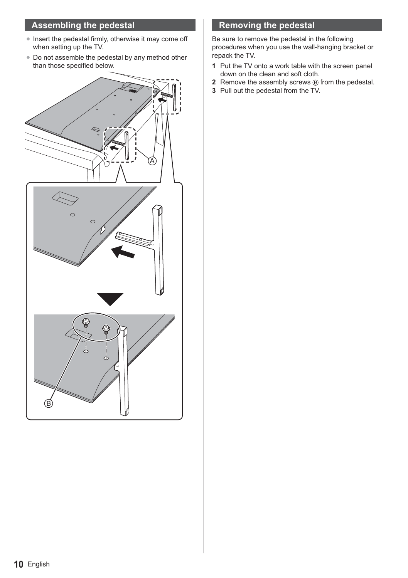## **Assembling the pedestal**

- Insert the pedestal firmly, otherwise it may come off when setting up the TV.
- Do not assemble the pedestal by any method other than those specified below.



## **Removing the pedestal**

Be sure to remove the pedestal in the following procedures when you use the wall-hanging bracket or repack the TV.

- **1** Put the TV onto a work table with the screen panel down on the clean and soft cloth.
- **2** Remove the assembly screws <sup>(B)</sup> from the pedestal.
- **3** Pull out the pedestal from the TV.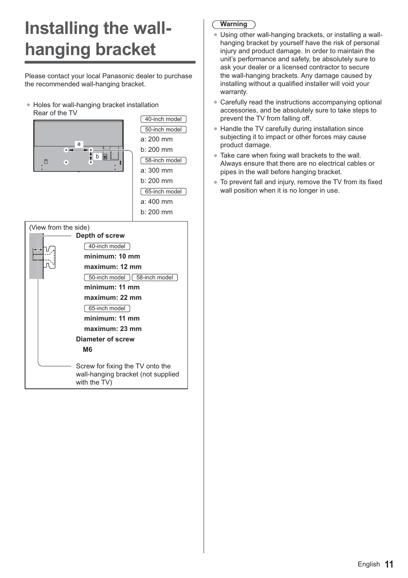## **Installing the wallhanging bracket**

Please contact your local Panasonic dealer to purchase the recommended wall-hanging bracket.

● Holes for wall-hanging bracket installation Rear of the TV



| <b>PO-TIGHTHOUGHT   PO-TIGHTHOUGHT</b>                                 |
|------------------------------------------------------------------------|
| minimum; 11 mm                                                         |
| maximum: 22 mm                                                         |
| 65-inch model                                                          |
| minimum: 11 mm                                                         |
| maximum: 23 mm                                                         |
| Diameter of screw                                                      |
| M6                                                                     |
| Screw for fixing the TV onto the<br>wall-hanging bracket (not supplied |

with the TV)

## **Warning**

- -Using other wall-hanging brackets, or installing a wallhanging bracket by yourself have the risk of personal injury and product damage. In order to maintain the unit's performance and safety, be absolutely sure to ask your dealer or a licensed contractor to secure the wall-hanging brackets. Any damage caused by installing without a qualified installer will void your warranty.
- -Carefully read the instructions accompanying optional accessories, and be absolutely sure to take steps to prevent the TV from falling off.
- Handle the TV carefully during installation since subjecting it to impact or other forces may cause product damage.
- Take care when fixing wall brackets to the wall. Always ensure that there are no electrical cables or pipes in the wall before hanging bracket.
- To prevent fall and injury, remove the TV from its fixed wall position when it is no longer in use.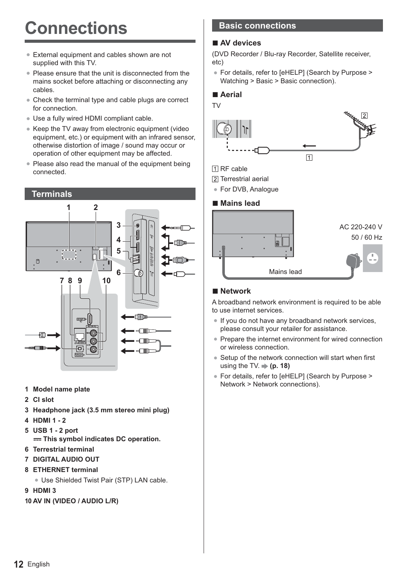## **Connections**

- External equipment and cables shown are not supplied with this TV.
- Please ensure that the unit is disconnected from the mains socket before attaching or disconnecting any cables.
- Check the terminal type and cable plugs are correct for connection.
- -Use a fully wired HDMI compliant cable.
- Keep the TV away from electronic equipment (video equipment, etc.) or equipment with an infrared sensor, otherwise distortion of image / sound may occur or operation of other equipment may be affected.
- Please also read the manual of the equipment being connected.



- **1 Model name plate**
- **2 CI slot**
- **3 Headphone jack (3.5 mm stereo mini plug)**
- **4 HDMI 1 2**
- **5 USB 1 2 port** 
	- $==$  **This symbol indicates DC operation.**
- **6 Terrestrial terminal**
- **7 DIGITAL AUDIO OUT**
- **8 ETHERNET terminal**
	- Use Shielded Twist Pair (STP) LAN cable.
- **9 HDMI 3**
- **10 AV IN (VIDEO / AUDIO L/R)**

## **Basic connections**

## **- AV devices**

(DVD Recorder / Blu-ray Recorder, Satellite receiver, etc)

-For details, refer to [eHELP] (Search by Purpose > Watching > Basic > Basic connection).

## **- Aerial**



- **NRF** cable
- Terrestrial aerial
- For DVB, Analogue

## **- Mains lead**



## **- Network**

A broadband network environment is required to be able to use internet services.

- -If you do not have any broadband network services, please consult your retailer for assistance.
- Prepare the internet environment for wired connection or wireless connection.
- Setup of the network connection will start when first using the TV.  $\Rightarrow$  (p. 18)
- -For details, refer to [eHELP] (Search by Purpose > Network > Network connections).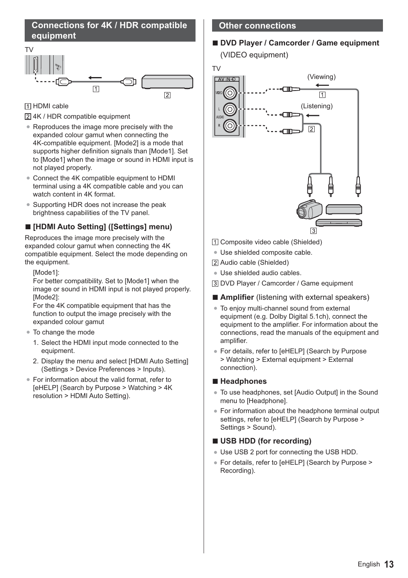## **Connections for 4K / HDR compatible equipment**



**TI HDMI** cable

4K / HDR compatible equipment

- Reproduces the image more precisely with the expanded colour gamut when connecting the 4K-compatible equipment. [Mode2] is a mode that supports higher definition signals than [Mode1]. Set to [Mode1] when the image or sound in HDMI input is not played properly.
- Connect the 4K compatible equipment to HDMI terminal using a 4K compatible cable and you can watch content in 4K format.
- -Supporting HDR does not increase the peak brightness capabilities of the TV panel.

## **- [HDMI Auto Setting] ([Settings] menu)**

Reproduces the image more precisely with the expanded colour gamut when connecting the 4K compatible equipment. Select the mode depending on the equipment.

[Mode1]:

For better compatibility. Set to [Mode1] when the image or sound in HDMI input is not played properly. [Mode2]:

For the 4K compatible equipment that has the function to output the image precisely with the expanded colour gamut

- -To change the mode
	- 1. Select the HDMI input mode connected to the equipment.
	- 2. Display the menu and select [HDMI Auto Setting] (Settings > Device Preferences > Inputs).
- For information about the valid format, refer to [eHELP] (Search by Purpose > Watching > 4K resolution > HDMI Auto Setting).

### **Other connections**

## **- DVD Player / Camcorder / Game equipment** (VIDEO equipment)

TV



- Composite video cable (Shielded)
- -Use shielded composite cable.
- Audio cable (Shielded)
- -Use shielded audio cables.
- DVD Player / Camcorder / Game equipment
- **- Amplifier** (listening with external speakers)
- -To enjoy multi-channel sound from external equipment (e.g. Dolby Digital 5.1ch), connect the equipment to the amplifier. For information about the connections, read the manuals of the equipment and amplifier.
- For details, refer to [eHELP] (Search by Purpose > Watching > External equipment > External connection).

## **- Headphones**

- To use headphones, set [Audio Output] in the Sound menu to [Headphone].
- -For information about the headphone terminal output settings, refer to [eHELP] (Search by Purpose > Settings > Sound).

## **- USB HDD (for recording)**

- Use USB 2 port for connecting the USB HDD.
- -For details, refer to [eHELP] (Search by Purpose > Recording).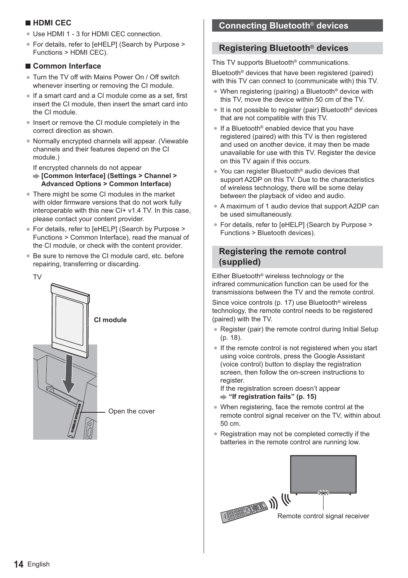## **- HDMI CEC**

- Use HDMI 1 3 for HDMI CEC connection.
- -For details, refer to [eHELP] (Search by Purpose > Functions > HDMI CEC).

## **- Common Interface**

- Turn the TV off with Mains Power On / Off switch whenever inserting or removing the CI module.
- If a smart card and a CI module come as a set, first insert the CI module, then insert the smart card into the CI module.
- Insert or remove the CI module completely in the correct direction as shown.
- -Normally encrypted channels will appear. (Viewable channels and their features depend on the CI module.)

If encrypted channels do not appear

- **[Common Interface] (Settings > Channel > Advanced Options > Common Interface)**
- There might be some CI modules in the market with older firmware versions that do not work fully interoperable with this new CI+ v1.4 TV. In this case, please contact your content provider.
- For details, refer to [eHELP] (Search by Purpose > Functions > Common Interface), read the manual of the CI module, or check with the content provider.
- Be sure to remove the CI module card, etc. before repairing, transferring or discarding.



## **Connecting Bluetooth**® **devices**

## **Registering Bluetooth**® **devices**

This TV supports Bluetooth® communications. Bluetooth<sup>®</sup> devices that have been registered (paired) with this TV can connect to (communicate with) this TV.

- -When registering (pairing) a Bluetooth® device with this TV, move the device within 50 cm of the TV.
- It is not possible to register (pair) Bluetooth® devices that are not compatible with this TV.
- If a Bluetooth<sup>®</sup> enabled device that you have registered (paired) with this TV is then registered and used on another device, it may then be made unavailable for use with this TV. Register the device on this TV again if this occurs.
- You can register Bluetooth<sup>®</sup> audio devices that support A2DP on this TV. Due to the characteristics of wireless technology, there will be some delay between the playback of video and audio.
- A maximum of 1 audio device that support A2DP can be used simultaneously.
- -For details, refer to [eHELP] (Search by Purpose > Functions > Bluetooth devices).

## **Registering the remote control (supplied)**

Either Bluetooth® wireless technology or the infrared communication function can be used for the transmissions between the TV and the remote control.

Since voice controls (p. 17) use Bluetooth® wireless technology, the remote control needs to be registered (paired) with the TV.

- Register (pair) the remote control during Initial Setup (p. 18).
- If the remote control is not registered when you start using voice controls, press the Google Assistant (voice control) button to display the registration screen, then follow the on-screen instructions to register.

If the registration screen doesn't appear  **"If registration fails" (p. 15)**

- When registering, face the remote control at the remote control signal receiver on the TV, within about 50 cm.
- Registration may not be completed correctly if the batteries in the remote control are running low.

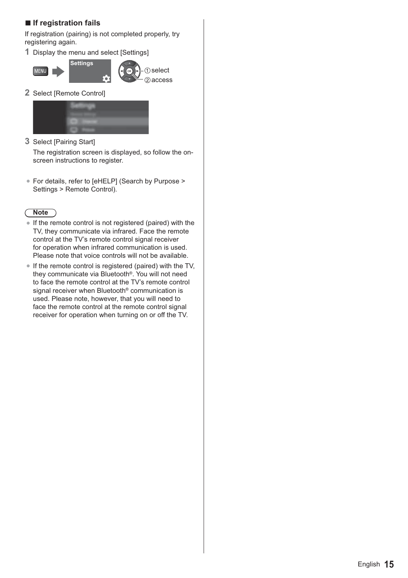## **- If registration fails**

If registration (pairing) is not completed properly, try registering again.

**1** Display the menu and select [Settings]





**2** Select [Remote Control]



**3** Select [Pairing Start]

The registration screen is displayed, so follow the onscreen instructions to register.

● For details, refer to [eHELP] (Search by Purpose > Settings > Remote Control).

## **Note**

- -If the remote control is not registered (paired) with the TV, they communicate via infrared. Face the remote control at the TV's remote control signal receiver for operation when infrared communication is used. Please note that voice controls will not be available.
- If the remote control is registered (paired) with the TV, they communicate via Bluetooth®. You will not need to face the remote control at the TV's remote control signal receiver when Bluetooth® communication is used. Please note, however, that you will need to face the remote control at the remote control signal receiver for operation when turning on or off the TV.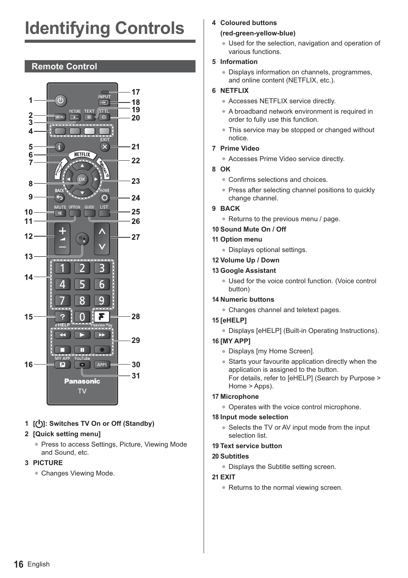# **Identifying Controls**

## **Remote Control**



### **1 [ ]: Switches TV On or Off (Standby)**

#### **2 [Quick setting menu]**

• Press to access Settings, Picture, Viewing Mode and Sound, etc.

#### **3 PICTURE**

• Changes Viewing Mode.

#### **4 Coloured buttons**

#### **(red-green-yellow-blue)**

• Used for the selection, navigation and operation of various functions.

#### **5 Information**

-Displays information on channels, programmes, and online content (NETFLIX, etc.).

#### **6 NETFLIX**

- Accesses NETFLIX service directly.
- A broadband network environment is required in order to fully use this function.
- This service may be stopped or changed without notice.

#### **7 Prime Video**

- Accesses Prime Video service directly.
- **8 OK**
	- Confirms selections and choices.
	- Press after selecting channel positions to quickly change channel.
- **9 BACK**
	- Returns to the previous menu / page.

#### **10 Sound Mute On / Off**

- **11 Option menu**
	- -Displays optional settings.
- **12 Volume Up / Down**

#### **13 Google Assistant**

- Used for the voice control function. (Voice control button)
- **14 Numeric buttons**
	- Changes channel and teletext pages.

#### **15 [eHELP]**

-Displays [eHELP] (Built-in Operating Instructions).

#### **16 [MY APP]**

- -Displays [my Home Screen].
- -Starts your favourite application directly when the application is assigned to the button. For details, refer to [eHELP] (Search by Purpose > Home > Apps).

#### **17 Microphone**

-Operates with the voice control microphone.

#### **18 Input mode selection**

• Selects the TV or AV input mode from the input selection list.

#### **19 Text service button**

#### **20 Subtitles**

-Displays the Subtitle setting screen.

#### **21 EXIT**

• Returns to the normal viewing screen.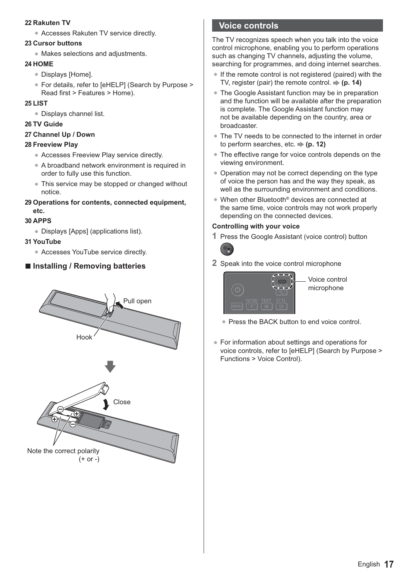#### **22 Rakuten TV**

-Accesses Rakuten TV service directly.

#### **23 Cursor buttons**

-Makes selections and adjustments.

#### **24 HOME**

- -Displays [Home].
- -For details, refer to [eHELP] (Search by Purpose > Read first > Features > Home).

#### **25 LIST**

-Displays channel list.

#### **26 TV Guide**

#### **27 Channel Up / Down**

#### **28 Freeview Play**

- -Accesses Freeview Play service directly.
- A broadband network environment is required in order to fully use this function.
- This service may be stopped or changed without notice.
- **29 Operations for contents, connected equipment, etc.**

#### **30 APPS**

-Displays [Apps] (applications list).

#### **31 YouTube**

• Accesses YouTube service directly.

## **- Installing / Removing batteries**



## **Voice controls**

The TV recognizes speech when you talk into the voice control microphone, enabling you to perform operations such as changing TV channels, adjusting the volume. searching for programmes, and doing internet searches.

- -If the remote control is not registered (paired) with the TV, register (pair) the remote control.  $\Rightarrow$  (p. 14)
- The Google Assistant function may be in preparation and the function will be available after the preparation is complete. The Google Assistant function may not be available depending on the country, area or broadcaster.
- The TV needs to be connected to the internet in order to perform searches, etc.  $\Rightarrow$  (p. 12)
- -The effective range for voice controls depends on the viewing environment.
- Operation may not be correct depending on the type of voice the person has and the way they speak, as well as the surrounding environment and conditions.
- When other Bluetooth<sup>®</sup> devices are connected at the same time, voice controls may not work properly depending on the connected devices.

#### **Controlling with your voice**

**1** Press the Google Assistant (voice control) button



**2** Speak into the voice control microphone



- Voice control microphone
- Press the BACK button to end voice control.
- -For information about settings and operations for voice controls, refer to [eHELP] (Search by Purpose > Functions > Voice Control).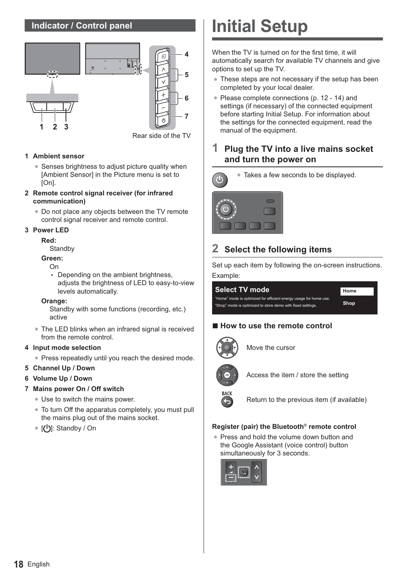## **Indicator / Control panel**



#### **1 Ambient sensor**

- Senses brightness to adjust picture quality when [Ambient Sensor] in the Picture menu is set to [On].
- **2 Remote control signal receiver (for infrared communication)**
	- Do not place any objects between the TV remote control signal receiver and remote control.

#### **3 Power LED**

#### **Red:**

**Standby** 

#### **Green:**

On

• Depending on the ambient brightness, adjusts the brightness of LED to easy-to-view levels automatically.

#### **Orange:**

Standby with some functions (recording, etc.) active

• The LED blinks when an infrared signal is received from the remote control.

#### **4 Input mode selection**

- -Press repeatedly until you reach the desired mode.
- **5 Channel Up / Down**
- **6 Volume Up / Down**

#### **7 Mains power On / Off switch**

- Use to switch the mains power.
- To turn Off the apparatus completely, you must pull the mains plug out of the mains socket.
- [**(U**): Standby / On

## **Initial Setup**

When the TV is turned on for the first time, it will automatically search for available TV channels and give options to set up the TV.

- These steps are not necessary if the setup has been completed by your local dealer.
- Please complete connections (p. 12 14) and settings (if necessary) of the connected equipment before starting Initial Setup. For information about the settings for the connected equipment, read the manual of the equipment.

## **1 Plug the TV into a live mains socket and turn the power on**



-Takes a few seconds to be displayed.



## **2 Select the following items**

Set up each item by following the on-screen instructions. Example:



## **- How to use the remote control**



Move the cursor



Access the item / store the setting



Return to the previous item (if available)

#### **Register (pair) the Bluetooth**® **remote control**

-Press and hold the volume down button and the Google Assistant (voice control) button simultaneously for 3 seconds.

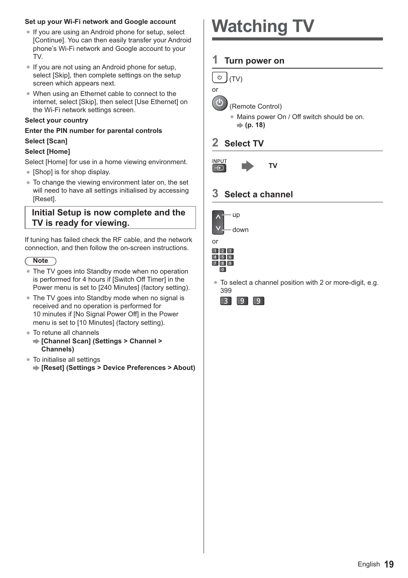#### **Set up your Wi-Fi network and Google account**

- If you are using an Android phone for setup, select [Continue]. You can then easily transfer your Android phone's Wi-Fi network and Google account to your TV.
- If you are not using an Android phone for setup, select [Skip], then complete settings on the setup screen which appears next.
- When using an Ethernet cable to connect to the internet, select [Skip], then select [Use Ethernet] on the Wi-Fi network settings screen.

#### **Select your country**

## **Enter the PIN number for parental controls**

### **Select [Scan]**

#### **Select [Home]**

Select [Home] for use in a home viewing environment.

- -[Shop] is for shop display.
- To change the viewing environment later on, the set will need to have all settings initialised by accessing [Reset].

### **Initial Setup is now complete and the TV is ready for viewing.**

If tuning has failed check the RF cable, and the network connection, and then follow the on-screen instructions.

#### **Note**

- The TV goes into Standby mode when no operation is performed for 4 hours if [Switch Off Timer] in the Power menu is set to [240 Minutes] (factory setting).
- The TV goes into Standby mode when no signal is received and no operation is performed for 10 minutes if [No Signal Power Off] in the Power menu is set to [10 Minutes] (factory setting).
- To retune all channels
	- **[Channel Scan] (Settings > Channel > Channels)**
- To initialise all settings
- **[Reset] (Settings > Device Preferences > About)**

## **Watching TV**

### **1 Turn power on**



 $\mathbb{d}$ 

(Remote Control)

-Mains power On / Off switch should be on. **(p. 18)**

## **2 Select TV**



## **3 Select a channel**





-To select a channel position with 2 or more-digit, e.g. 399

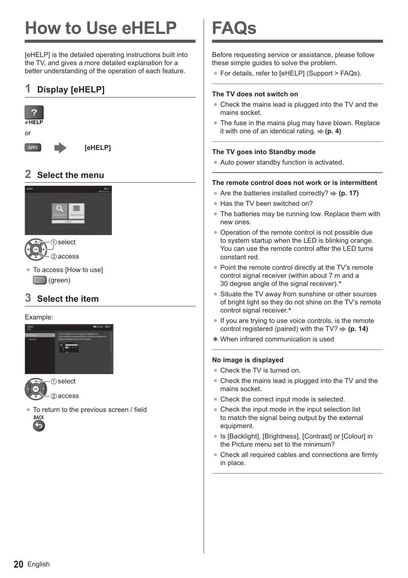# **How to Use eHELP**

[eHELP] is the detailed operating instructions built into the TV, and gives a more detailed explanation for a better understanding of the operation of each feature.

## **1 Display [eHELP]**



## **2 Select the menu**



- select 2 access
- -To access [How to use] (green)

## **3 Select the item**

#### Example:





-To return to the previous screen / field **BACK** 



## **FAQs**

Before requesting service or assistance, please follow these simple guides to solve the problem.

-For details, refer to [eHELP] (Support > FAQs).

#### **The TV does not switch on**

- Check the mains lead is plugged into the TV and the mains socket.
- The fuse in the mains plug may have blown. Replace it with one of an identical rating  $\rightarrow$  (**p. 4)**

#### **The TV goes into Standby mode**

• Auto power standby function is activated.

#### **The remote control does not work or is intermittent**

- Are the batteries installed correctly? **→ (p. 17)**
- Has the TV been switched on?
- The batteries may be running low. Replace them with new ones.
- Operation of the remote control is not possible due to system startup when the LED is blinking orange. You can use the remote control after the LED turns constant red.
- Point the remote control directly at the TV's remote control signal receiver (within about 7 m and a 30 degree angle of the signal receiver).\*
- Situate the TV away from sunshine or other sources of bright light so they do not shine on the TV's remote control signal receiver.\*
- -If you are trying to use voice controls, is the remote control registered (paired) with the TV?  $\Rightarrow$  (p. 14)
- When infrared communication is used

#### **No image is displayed**

- Check the TV is turned on.
- Check the mains lead is plugged into the TV and the mains socket.
- Check the correct input mode is selected.
- Check the input mode in the input selection list to match the signal being output by the external equipment.
- Is [Backlight], [Brightness], [Contrast] or [Colour] in the Picture menu set to the minimum?
- -Check all required cables and connections are firmly in place.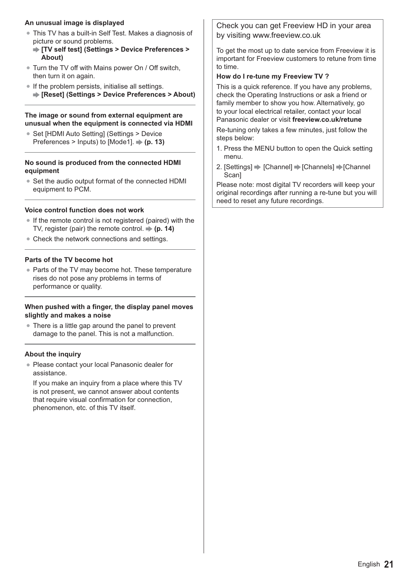#### **An unusual image is displayed**

- -This TV has a built-in Self Test. Makes a diagnosis of picture or sound problems.
	- **[TV self test] (Settings > Device Preferences > About)**
- Turn the TV off with Mains power On / Off switch, then turn it on again.
- If the problem persists, initialise all settings. **[Reset] (Settings > Device Preferences > About)**

#### **The image or sound from external equipment are unusual when the equipment is connected via HDMI**

● Set [HDMI Auto Setting] (Settings > Device Preferences > Inputs) to [Mode1]. **(p. 13)**

#### **No sound is produced from the connected HDMI equipment**

• Set the audio output format of the connected HDMI equipment to PCM.

### **Voice control function does not work**

- If the remote control is not registered (paired) with the TV, register (pair) the remote control.  $\Rightarrow$  (**p. 14**)
- Check the network connections and settings.

### **Parts of the TV become hot**

• Parts of the TV may become hot. These temperature rises do not pose any problems in terms of performance or quality.

#### **When pushed with a finger, the display panel moves slightly and makes a noise**

• There is a little gap around the panel to prevent damage to the panel. This is not a malfunction.

### **About the inquiry**

-Please contact your local Panasonic dealer for assistance.

If you make an inquiry from a place where this TV is not present, we cannot answer about contents that require visual confirmation for connection, phenomenon, etc. of this TV itself.

Check you can get Freeview HD in your area by visiting www.freeview.co.uk

To get the most up to date service from Freeview it is important for Freeview customers to retune from time to time.

## **How do I re-tune my Freeview TV ?**

This is a quick reference. If you have any problems, check the Operating Instructions or ask a friend or family member to show you how. Alternatively, go to your local electrical retailer, contact your local Panasonic dealer or visit **freeview.co.uk/retune**

Re-tuning only takes a few minutes, just follow the steps below:

- 1. Press the MENU button to open the Quick setting menu.
- 2. [Settings]  $\Rightarrow$  [Channel]  $\Rightarrow$  [Channels]  $\Rightarrow$  [Channel **Scan**

Please note: most digital TV recorders will keep your original recordings after running a re-tune but you will need to reset any future recordings.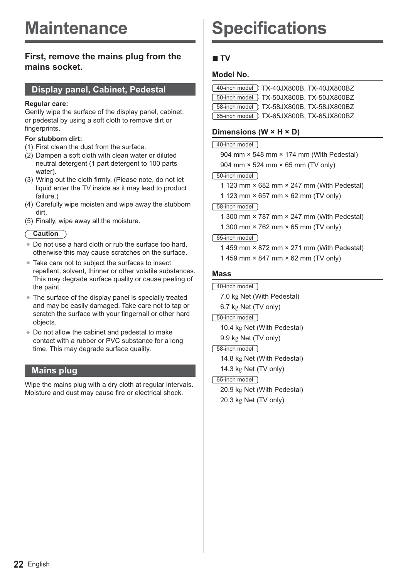## **Maintenance**

### **First, remove the mains plug from the mains socket.**

### **Display panel, Cabinet, Pedestal**

#### **Regular care:**

Gently wipe the surface of the display panel, cabinet, or pedestal by using a soft cloth to remove dirt or fingerprints.

#### **For stubborn dirt:**

- (1) First clean the dust from the surface.
- (2) Dampen a soft cloth with clean water or diluted neutral detergent (1 part detergent to 100 parts water).
- (3) Wring out the cloth firmly. (Please note, do not let liquid enter the TV inside as it may lead to product failure.)
- (4) Carefully wipe moisten and wipe away the stubborn dirt.
- (5) Finally, wipe away all the moisture.

#### **Caution**

- Do not use a hard cloth or rub the surface too hard, otherwise this may cause scratches on the surface.
- Take care not to subject the surfaces to insect repellent, solvent, thinner or other volatile substances. This may degrade surface quality or cause peeling of the paint.
- The surface of the display panel is specially treated and may be easily damaged. Take care not to tap or scratch the surface with your fingernail or other hard objects.
- -Do not allow the cabinet and pedestal to make contact with a rubber or PVC substance for a long time. This may degrade surface quality.

## **Mains plug**

Wipe the mains plug with a dry cloth at regular intervals. Moisture and dust may cause fire or electrical shock.

## **Specifications**

## **- TV**

#### **Model No.**

| 40-inch model : TX-40JX800B, TX-40JX800BZ  |  |
|--------------------------------------------|--|
| [50-inch model]: TX-50JX800B, TX-50JX800BZ |  |
| 58-inch model: TX-58JX800B, TX-58JX800BZ   |  |
| 65-inch model: TX-65JX800B, TX-65JX800BZ   |  |

#### **Dimensions (W × H × D)**

#### 40-inch model

904 mm × 548 mm × 174 mm (With Pedestal) 904 mm × 524 mm × 65 mm (TV only)

#### 50-inch model

1 123 mm × 682 mm × 247 mm (With Pedestal)

1 123 mm × 657 mm × 62 mm (TV only)

#### 58-inch model

- 1 300 mm × 787 mm × 247 mm (With Pedestal)
- 1 300 mm × 762 mm × 65 mm (TV only)

#### 65-inch model

1 459 mm × 872 mm × 271 mm (With Pedestal) 1 459 mm × 847 mm × 62 mm (TV only)

#### **Mass**

40-inch model

7.0 kg Net (With Pedestal) 6.7 kg Net (TV only)

50-inch model

10.4 kg Net (With Pedestal)

9.9 kg Net (TV only)

58-inch model

14.8 kg Net (With Pedestal) 14.3 kg Net (TV only)

#### 65-inch model

20.9 kg Net (With Pedestal) 20.3 kg Net (TV only)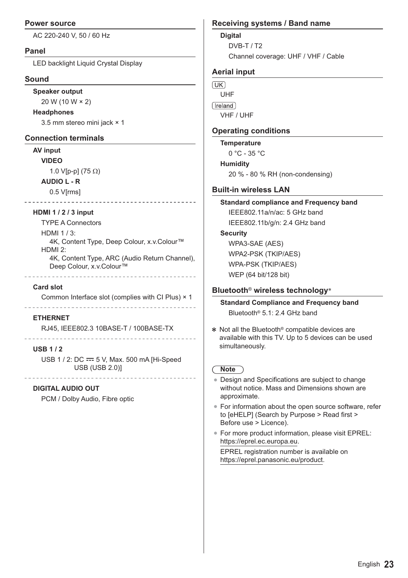#### **Power source**

AC 220-240 V, 50 / 60 Hz

#### **Panel**

LED backlight Liquid Crystal Display

#### **Sound**

**Speaker output**

20 W (10 W × 2)

#### **Headphones**

3.5 mm stereo mini jack × 1

#### **Connection terminals**

#### **AV input**

**VIDEO**

1.0 V[p-p] (75 $\Omega$ )

#### **AUDIO L - R**

0.5 V[rms]

#### **HDMI 1 / 2 / 3 input**

TYPE A Connectors HDMI 1 / 3: 4K, Content Type, Deep Colour, x.v.Colour™ HDMI 2: 4K, Content Type, ARC (Audio Return Channel), Deep Colour, x.v.Colour™

#### **Card slot**

Common Interface slot (complies with CI Plus) × 1

#### 

#### **ETHERNET**

RJ45, IEEE802.3 10BASE-T / 100BASE-TX 

#### **USB 1 / 2**

USB 1 / 2: DC == 5 V, Max. 500 mA [Hi-Speed USB (USB 2.0)]

#### **DIGITAL AUDIO OUT**

PCM / Dolby Audio, Fibre optic

#### **Receiving systems / Band name**

**Digital**

DVB-T / T2 Channel coverage: UHF / VHF / Cable

#### **Aerial input**

 $\sqrt{UK}$ UHF [reland] VHF / UHF

#### **Operating conditions**

**Temperature**

 $0 °C - 35 °C$ 

#### **Humidity**

20 % - 80 % RH (non-condensing)

#### **Built-in wireless LAN**

## **Standard compliance and Frequency band** IEEE802.11a/n/ac: 5 GHz band

IEEE802.11b/g/n: 2.4 GHz band

#### **Security**

WPA3-SAE (AES) WPA2-PSK (TKIP/AES) WPA-PSK (TKIP/AES) WEP (64 bit/128 bit)

#### **Bluetooth**® **wireless technology**\*

**Standard Compliance and Frequency band** Bluetooth® 5.1: 2.4 GHz band

 Not all the Bluetooth® compatible devices are available with this TV. Up to 5 devices can be used simultaneously.

## **Note**

- Design and Specifications are subject to change without notice. Mass and Dimensions shown are approximate.
- -For information about the open source software, refer to [eHELP] (Search by Purpose > Read first > Before use > Licence).
- -For more product information, please visit EPREL: https://eprel.ec.europa.eu.

EPREL registration number is available on https://eprel.panasonic.eu/product.